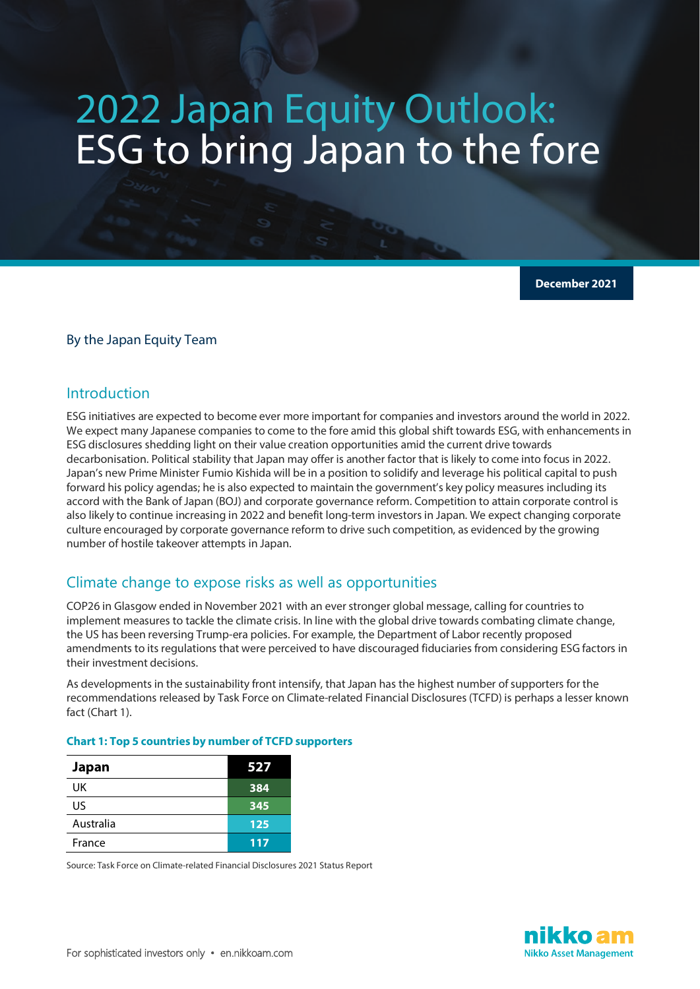# 2022 Japan Equity Outlook: ESG to bring Japan to the fore

**December 2021**

## By the Japan Equity Team

# Introduction

ESG initiatives are expected to become ever more important for companies and investors around the world in 2022. We expect many Japanese companies to come to the fore amid this global shift towards ESG, with enhancements in ESG disclosures shedding light on their value creation opportunities amid the current drive towards decarbonisation. Political stability that Japan may offer is another factor that is likely to come into focus in 2022. Japan's new Prime Minister Fumio Kishida will be in a position to solidify and leverage his political capital to push forward his policy agendas; he is also expected to maintain the government's key policy measures including its accord with the Bank of Japan (BOJ) and corporate governance reform. Competition to attain corporate control is also likely to continue increasing in 2022 and benefit long-term investors in Japan. We expect changing corporate culture encouraged by corporate governance reform to drive such competition, as evidenced by the growing number of hostile takeover attempts in Japan.

# Climate change to expose risks as well as opportunities

COP26 in Glasgow ended in November 2021 with an ever stronger global message, calling for countries to implement measures to tackle the climate crisis. In line with the global drive towards combating climate change, the US has been reversing Trump-era policies. For example, the Department of Labor recently proposed amendments to its regulations that were perceived to have discouraged fiduciaries from considering ESG factors in their investment decisions.

As developments in the sustainability front intensify, that Japan has the highest number of supporters for the recommendations released by Task Force on Climate-related Financial Disclosures (TCFD) is perhaps a lesser known fact (Chart 1).

## **Chart 1: Top 5 countries by number of TCFD supporters**

| Japan     | 527 |
|-----------|-----|
| UK        | 384 |
| US        | 345 |
| Australia | 125 |
| France    | 117 |

Source: Task Force on Climate-related Financial Disclosures 2021 Status Report

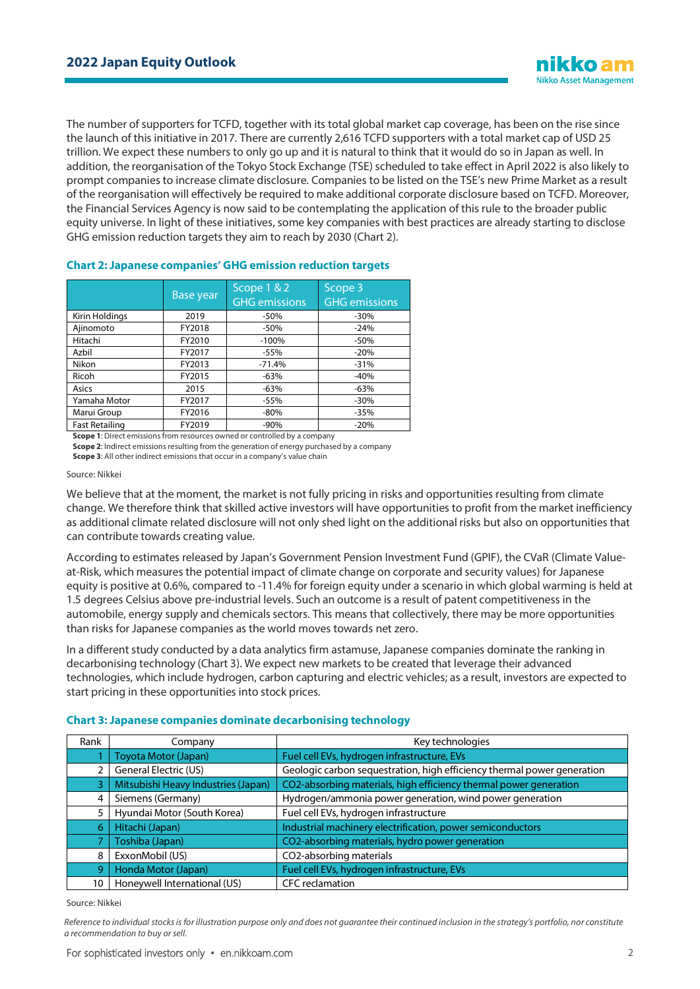The number of supporters for TCFD, together with its total global market cap coverage, has been on the rise since the launch of this initiative in 2017. There are currently 2,616 TCFD supporters with a total market cap of USD 25 trillion. We expect these numbers to only go up and it is natural to think that it would do so in Japan as well. In addition, the reorganisation of the Tokyo Stock Exchange (TSE) scheduled to take effect in April 2022 is also likely to prompt companies to increase climate disclosure. Companies to be listed on the TSE's new Prime Market as a result of the reorganisation will effectively be required to make additional corporate disclosure based on TCFD. Moreover, the Financial Services Agency is now said to be contemplating the application of this rule to the broader public equity universe. In light of these initiatives, some key companies with best practices are already starting to disclose GHG emission reduction targets they aim to reach by 2030 (Chart 2).

|                                 | Base year | Scope 1 & 2<br><b>GHG emissions</b> | Scope 3<br><b>GHG emissions</b> |
|---------------------------------|-----------|-------------------------------------|---------------------------------|
| Kirin Holdings                  | 2019      | -50%                                | $-30%$                          |
| Ajinomoto                       | FY2018    | $-50%$                              | $-24%$                          |
| Hitachi                         | FY2010    | $-100%$                             | $-50%$                          |
| Azbil                           | FY2017    | $-55%$                              | $-20%$                          |
| Nikon                           | FY2013    | $-71.4%$                            | $-31%$                          |
| Ricoh<br>FY2015                 |           | $-63%$                              | $-40%$                          |
| Asics<br>2015                   |           | $-63%$                              | $-63%$                          |
| Yamaha Motor                    | FY2017    | $-55%$                              | $-30%$                          |
| FY2016<br>Marui Group           |           | $-80%$                              | $-35%$                          |
| <b>Fast Retailing</b><br>FY2019 |           | $-90%$                              | $-20%$                          |

#### **Chart 2: Japanese companies' GHG emission reduction targets**

**Scope 1**: Direct emissions from resources owned or controlled by a company

**Scope 2**: Indirect emissions resulting from the generation of energy purchased by a company **Scope 3**: All other indirect emissions that occur in a company's value chain

#### Source: Nikkei

We believe that at the moment, the market is not fully pricing in risks and opportunities resulting from climate change. We therefore think that skilled active investors will have opportunities to profit from the market inefficiency as additional climate related disclosure will not only shed light on the additional risks but also on opportunities that can contribute towards creating value.

According to estimates released by Japan's Government Pension Investment Fund (GPIF), the CVaR (Climate Valueat-Risk, which measures the potential impact of climate change on corporate and security values) for Japanese equity is positive at 0.6%, compared to -11.4% for foreign equity under a scenario in which global warming is held at 1.5 degrees Celsius above pre-industrial levels. Such an outcome is a result of patent competitiveness in the automobile, energy supply and chemicals sectors. This means that collectively, there may be more opportunities than risks for Japanese companies as the world moves towards net zero.

In a different study conducted by a data analytics firm astamuse, Japanese companies dominate the ranking in decarbonising technology (Chart 3). We expect new markets to be created that leverage their advanced technologies, which include hydrogen, carbon capturing and electric vehicles; as a result, investors are expected to start pricing in these opportunities into stock prices.

| Rank | Company                             | Key technologies                                                        |
|------|-------------------------------------|-------------------------------------------------------------------------|
|      | Toyota Motor (Japan)                | Fuel cell EVs, hydrogen infrastructure, EVs                             |
|      | <b>General Electric (US)</b>        | Geologic carbon sequestration, high efficiency thermal power generation |
| 3    | Mitsubishi Heavy Industries (Japan) | CO2-absorbing materials, high efficiency thermal power generation       |
| 4    | Siemens (Germany)                   | Hydrogen/ammonia power generation, wind power generation                |
|      | Hyundai Motor (South Korea)         | Fuel cell EVs, hydrogen infrastructure                                  |
| 6    | Hitachi (Japan)                     | Industrial machinery electrification, power semiconductors              |
|      | Toshiba (Japan)                     | CO2-absorbing materials, hydro power generation                         |
| 8    | ExxonMobil (US)                     | CO2-absorbing materials                                                 |
| 9    | Honda Motor (Japan)                 | Fuel cell EVs, hydrogen infrastructure, EVs                             |
| 10   | Honeywell International (US)        | <b>CFC</b> reclamation                                                  |

Source: Nikkei

*Reference to individual stocks is for illustration purpose only and does not guarantee their continued inclusion in the strategy's portfolio, nor constitute a recommendation to buy or sell.*

**ikko an Nikko Asset Management**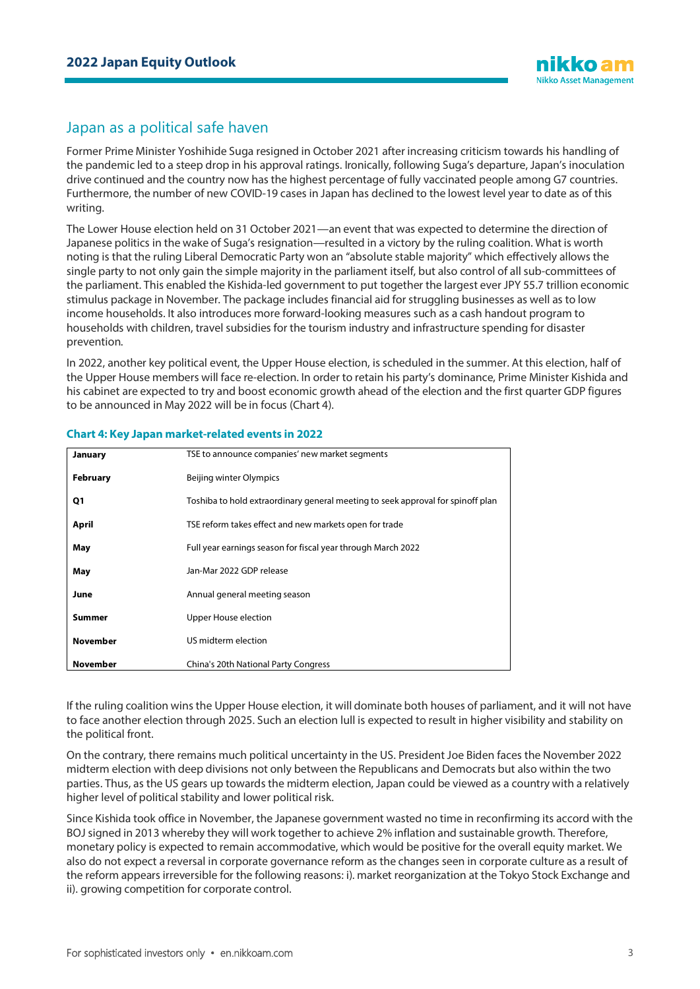# Japan as a political safe haven

Former Prime Minister Yoshihide Suga resigned in October 2021 after increasing criticism towards his handling of the pandemic led to a steep drop in his approval ratings. Ironically, following Suga's departure, Japan's inoculation drive continued and the country now has the highest percentage of fully vaccinated people among G7 countries. Furthermore, the number of new COVID-19 cases in Japan has declined to the lowest level year to date as of this writing.

The Lower House election held on 31 October 2021—an event that was expected to determine the direction of Japanese politics in the wake of Suga's resignation—resulted in a victory by the ruling coalition. What is worth noting is that the ruling Liberal Democratic Party won an "absolute stable majority" which effectively allows the single party to not only gain the simple majority in the parliament itself, but also control of all sub-committees of the parliament. This enabled the Kishida-led government to put together the largest ever JPY 55.7 trillion economic stimulus package in November. The package includes financial aid for struggling businesses as well as to low income households. It also introduces more forward-looking measures such as a cash handout program to households with children, travel subsidies for the tourism industry and infrastructure spending for disaster prevention.

In 2022, another key political event, the Upper House election, is scheduled in the summer. At this election, half of the Upper House members will face re-election. In order to retain his party's dominance, Prime Minister Kishida and his cabinet are expected to try and boost economic growth ahead of the election and the first quarter GDP figures to be announced in May 2022 will be in focus (Chart 4).

| January         | TSE to announce companies' new market segments                                  |
|-----------------|---------------------------------------------------------------------------------|
| February        | Beijing winter Olympics                                                         |
| Q1              | Toshiba to hold extraordinary general meeting to seek approval for spinoff plan |
| April           | TSE reform takes effect and new markets open for trade                          |
| May             | Full year earnings season for fiscal year through March 2022                    |
| May             | Jan-Mar 2022 GDP release                                                        |
| June            | Annual general meeting season                                                   |
| Summer          | Upper House election                                                            |
| <b>November</b> | US midterm election                                                             |
| <b>November</b> | China's 20th National Party Congress                                            |

## **Chart 4: Key Japan market-related events in 2022**

If the ruling coalition wins the Upper House election, it will dominate both houses of parliament, and it will not have to face another election through 2025. Such an election lull is expected to result in higher visibility and stability on the political front.

On the contrary, there remains much political uncertainty in the US. President Joe Biden faces the November 2022 midterm election with deep divisions not only between the Republicans and Democrats but also within the two parties. Thus, as the US gears up towards the midterm election, Japan could be viewed as a country with a relatively higher level of political stability and lower political risk.

Since Kishida took office in November, the Japanese government wasted no time in reconfirming its accord with the BOJ signed in 2013 whereby they will work together to achieve 2% inflation and sustainable growth. Therefore, monetary policy is expected to remain accommodative, which would be positive for the overall equity market. We also do not expect a reversal in corporate governance reform as the changes seen in corporate culture as a result of the reform appears irreversible for the following reasons: i). market reorganization at the Tokyo Stock Exchange and ii). growing competition for corporate control.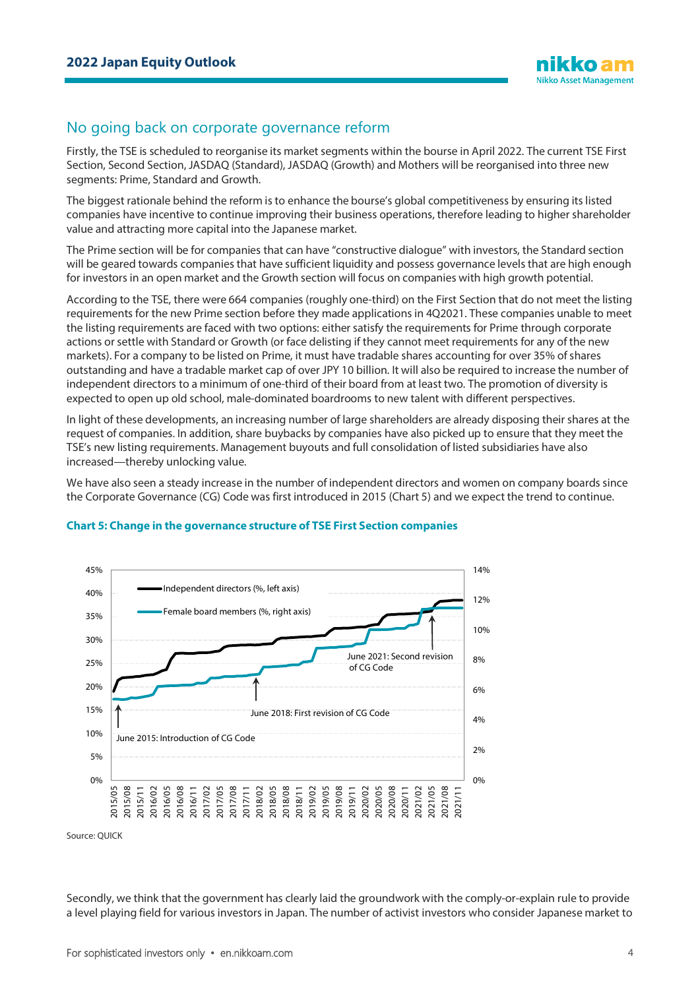# No going back on corporate governance reform

Firstly, the TSE is scheduled to reorganise its market segments within the bourse in April 2022. The current TSE First Section, Second Section, JASDAQ (Standard), JASDAQ (Growth) and Mothers will be reorganised into three new segments: Prime, Standard and Growth.

The biggest rationale behind the reform is to enhance the bourse's global competitiveness by ensuring its listed companies have incentive to continue improving their business operations, therefore leading to higher shareholder value and attracting more capital into the Japanese market.

The Prime section will be for companies that can have "constructive dialogue" with investors, the Standard section will be geared towards companies that have sufficient liquidity and possess governance levels that are high enough for investors in an open market and the Growth section will focus on companies with high growth potential.

According to the TSE, there were 664 companies (roughly one-third) on the First Section that do not meet the listing requirements for the new Prime section before they made applications in 4Q2021. These companies unable to meet the listing requirements are faced with two options: either satisfy the requirements for Prime through corporate actions or settle with Standard or Growth (or face delisting if they cannot meet requirements for any of the new markets). For a company to be listed on Prime, it must have tradable shares accounting for over 35% of shares outstanding and have a tradable market cap of over JPY 10 billion. It will also be required to increase the number of independent directors to a minimum of one-third of their board from at least two. The promotion of diversity is expected to open up old school, male-dominated boardrooms to new talent with different perspectives.

In light of these developments, an increasing number of large shareholders are already disposing their shares at the request of companies. In addition, share buybacks by companies have also picked up to ensure that they meet the TSE's new listing requirements. Management buyouts and full consolidation of listed subsidiaries have also increased—thereby unlocking value.

We have also seen a steady increase in the number of independent directors and women on company boards since the Corporate Governance (CG) Code was first introduced in 2015 (Chart 5) and we expect the trend to continue.



## **Chart 5: Change in the governance structure of TSE First Section companies**

Source: QUICK

Secondly, we think that the government has clearly laid the groundwork with the comply-or-explain rule to provide a level playing field for various investors in Japan. The number of activist investors who consider Japanese market to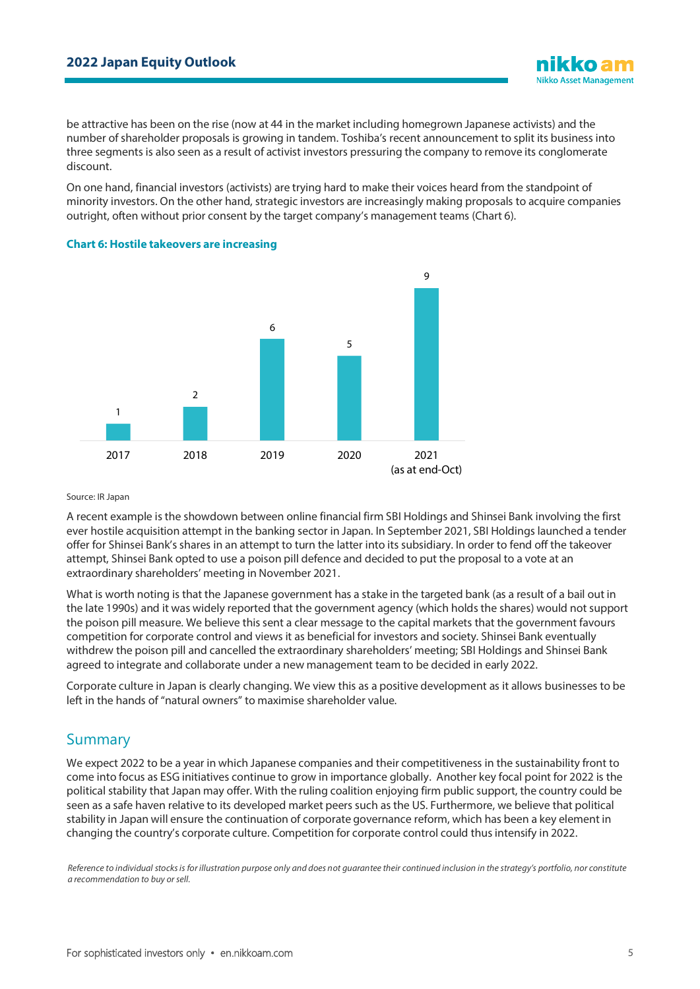be attractive has been on the rise (now at 44 in the market including homegrown Japanese activists) and the number of shareholder proposals is growing in tandem. Toshiba's recent announcement to split its business into three segments is also seen as a result of activist investors pressuring the company to remove its conglomerate discount.

On one hand, financial investors (activists) are trying hard to make their voices heard from the standpoint of minority investors. On the other hand, strategic investors are increasingly making proposals to acquire companies outright, often without prior consent by the target company's management teams (Chart 6).



### **Chart 6: Hostile takeovers are increasing**

#### Source: IR Japan

A recent example is the showdown between online financial firm SBI Holdings and Shinsei Bank involving the first ever hostile acquisition attempt in the banking sector in Japan. In September 2021, SBI Holdings launched a tender offer for Shinsei Bank's shares in an attempt to turn the latter into its subsidiary. In order to fend off the takeover attempt, Shinsei Bank opted to use a poison pill defence and decided to put the proposal to a vote at an extraordinary shareholders' meeting in November 2021.

What is worth noting is that the Japanese government has a stake in the targeted bank (as a result of a bail out in the late 1990s) and it was widely reported that the government agency (which holds the shares) would not support the poison pill measure. We believe this sent a clear message to the capital markets that the government favours competition for corporate control and views it as beneficial for investors and society. Shinsei Bank eventually withdrew the poison pill and cancelled the extraordinary shareholders' meeting; SBI Holdings and Shinsei Bank agreed to integrate and collaborate under a new management team to be decided in early 2022.

Corporate culture in Japan is clearly changing. We view this as a positive development as it allows businesses to be left in the hands of "natural owners" to maximise shareholder value.

# Summary

We expect 2022 to be a year in which Japanese companies and their competitiveness in the sustainability front to come into focus as ESG initiatives continue to grow in importance globally. Another key focal point for 2022 is the political stability that Japan may offer. With the ruling coalition enjoying firm public support, the country could be seen as a safe haven relative to its developed market peers such as the US. Furthermore, we believe that political stability in Japan will ensure the continuation of corporate governance reform, which has been a key element in changing the country's corporate culture. Competition for corporate control could thus intensify in 2022.

*Reference to individual stocks is for illustration purpose only and does not guarantee their continued inclusion in the strategy's portfolio, nor constitute a recommendation to buy or sell.*

**Nikko Asset Management**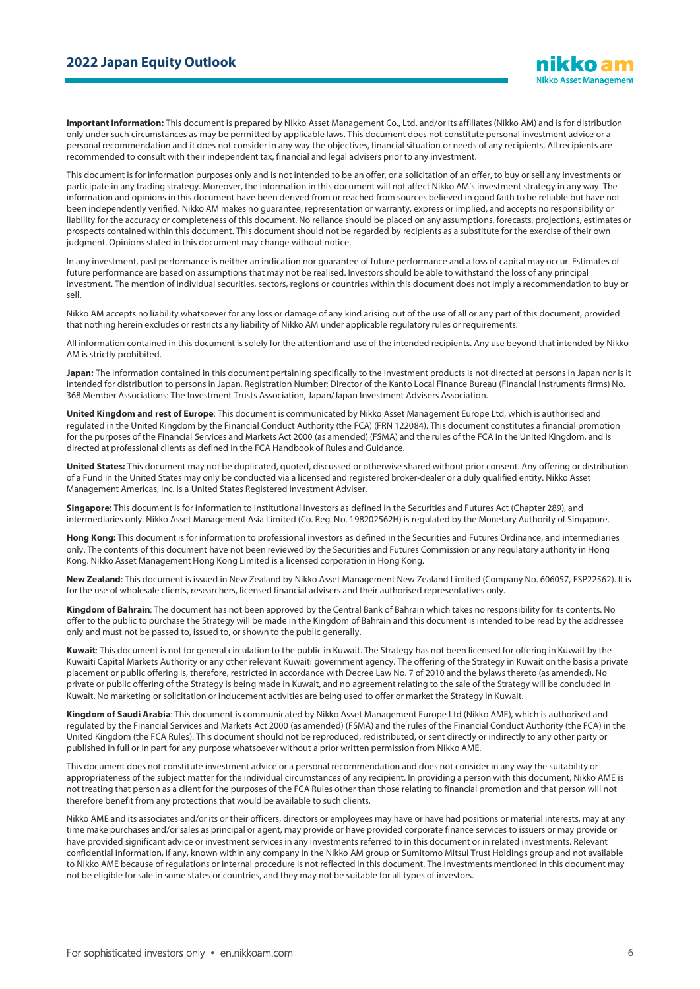**Important Information:** This document is prepared by Nikko Asset Management Co., Ltd. and/or its affiliates (Nikko AM) and is for distribution only under such circumstances as may be permitted by applicable laws. This document does not constitute personal investment advice or a personal recommendation and it does not consider in any way the objectives, financial situation or needs of any recipients. All recipients are recommended to consult with their independent tax, financial and legal advisers prior to any investment.

This document is for information purposes only and is not intended to be an offer, or a solicitation of an offer, to buy or sell any investments or participate in any trading strategy. Moreover, the information in this document will not affect Nikko AM's investment strategy in any way. The information and opinions in this document have been derived from or reached from sources believed in good faith to be reliable but have not been independently verified. Nikko AM makes no guarantee, representation or warranty, express or implied, and accepts no responsibility or liability for the accuracy or completeness of this document. No reliance should be placed on any assumptions, forecasts, projections, estimates or prospects contained within this document. This document should not be regarded by recipients as a substitute for the exercise of their own judgment. Opinions stated in this document may change without notice.

In any investment, past performance is neither an indication nor guarantee of future performance and a loss of capital may occur. Estimates of future performance are based on assumptions that may not be realised. Investors should be able to withstand the loss of any principal investment. The mention of individual securities, sectors, regions or countries within this document does not imply a recommendation to buy or sell.

Nikko AM accepts no liability whatsoever for any loss or damage of any kind arising out of the use of all or any part of this document, provided that nothing herein excludes or restricts any liability of Nikko AM under applicable regulatory rules or requirements.

All information contained in this document is solely for the attention and use of the intended recipients. Any use beyond that intended by Nikko AM is strictly prohibited.

**Japan:** The information contained in this document pertaining specifically to the investment products is not directed at persons in Japan nor is it intended for distribution to persons in Japan. Registration Number: Director of the Kanto Local Finance Bureau (Financial Instruments firms) No. 368 Member Associations: The Investment Trusts Association, Japan/Japan Investment Advisers Association.

**United Kingdom and rest of Europe**: This document is communicated by Nikko Asset Management Europe Ltd, which is authorised and regulated in the United Kingdom by the Financial Conduct Authority (the FCA) (FRN 122084). This document constitutes a financial promotion for the purposes of the Financial Services and Markets Act 2000 (as amended) (FSMA) and the rules of the FCA in the United Kingdom, and is directed at professional clients as defined in the FCA Handbook of Rules and Guidance.

**United States:** This document may not be duplicated, quoted, discussed or otherwise shared without prior consent. Any offering or distribution of a Fund in the United States may only be conducted via a licensed and registered broker-dealer or a duly qualified entity. Nikko Asset Management Americas, Inc. is a United States Registered Investment Adviser.

**Singapore:** This document is for information to institutional investors as defined in the Securities and Futures Act (Chapter 289), and intermediaries only. Nikko Asset Management Asia Limited (Co. Reg. No. 198202562H) is regulated by the Monetary Authority of Singapore.

**Hong Kong:** This document is for information to professional investors as defined in the Securities and Futures Ordinance, and intermediaries only. The contents of this document have not been reviewed by the Securities and Futures Commission or any regulatory authority in Hong Kong. Nikko Asset Management Hong Kong Limited is a licensed corporation in Hong Kong.

**New Zealand**: This document is issued in New Zealand by Nikko Asset Management New Zealand Limited (Company No. 606057, FSP22562). It is for the use of wholesale clients, researchers, licensed financial advisers and their authorised representatives only.

**Kingdom of Bahrain**: The document has not been approved by the Central Bank of Bahrain which takes no responsibility for its contents. No offer to the public to purchase the Strategy will be made in the Kingdom of Bahrain and this document is intended to be read by the addressee only and must not be passed to, issued to, or shown to the public generally.

**Kuwait**: This document is not for general circulation to the public in Kuwait. The Strategy has not been licensed for offering in Kuwait by the Kuwaiti Capital Markets Authority or any other relevant Kuwaiti government agency. The offering of the Strategy in Kuwait on the basis a private placement or public offering is, therefore, restricted in accordance with Decree Law No. 7 of 2010 and the bylaws thereto (as amended). No private or public offering of the Strategy is being made in Kuwait, and no agreement relating to the sale of the Strategy will be concluded in Kuwait. No marketing or solicitation or inducement activities are being used to offer or market the Strategy in Kuwait.

**Kingdom of Saudi Arabia**: This document is communicated by Nikko Asset Management Europe Ltd (Nikko AME), which is authorised and regulated by the Financial Services and Markets Act 2000 (as amended) (FSMA) and the rules of the Financial Conduct Authority (the FCA) in the United Kingdom (the FCA Rules). This document should not be reproduced, redistributed, or sent directly or indirectly to any other party or published in full or in part for any purpose whatsoever without a prior written permission from Nikko AME.

This document does not constitute investment advice or a personal recommendation and does not consider in any way the suitability or appropriateness of the subject matter for the individual circumstances of any recipient. In providing a person with this document, Nikko AME is not treating that person as a client for the purposes of the FCA Rules other than those relating to financial promotion and that person will not therefore benefit from any protections that would be available to such clients.

Nikko AME and its associates and/or its or their officers, directors or employees may have or have had positions or material interests, may at any time make purchases and/or sales as principal or agent, may provide or have provided corporate finance services to issuers or may provide or have provided significant advice or investment services in any investments referred to in this document or in related investments. Relevant confidential information, if any, known within any company in the Nikko AM group or Sumitomo Mitsui Trust Holdings group and not available to Nikko AME because of regulations or internal procedure is not reflected in this document. The investments mentioned in this document may not be eligible for sale in some states or countries, and they may not be suitable for all types of investors.